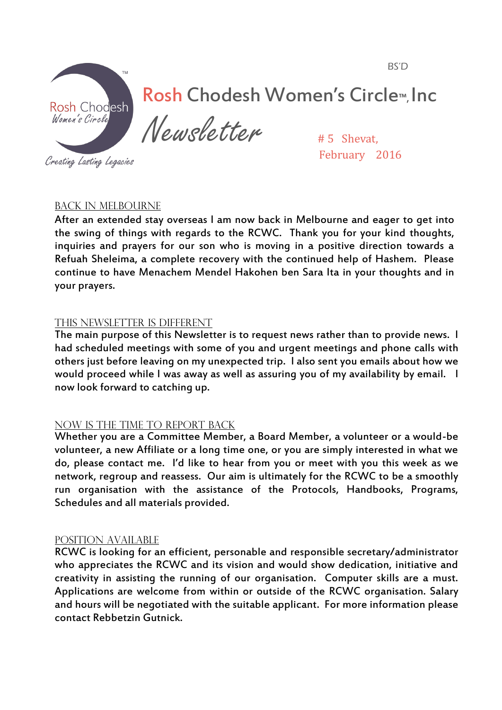BS'D



# Rosh Chodesh Women's Circle™, Inc

Newsletter

Creating Lasting Legacies

# 5 Shevat, February 2016

## Back in Melbourne

After an extended stay overseas I am now back in Melbourne and eager to get into the swing of things with regards to the RCWC. Thank you for your kind thoughts, inquiries and prayers for our son who is moving in a positive direction towards a Refuah Sheleima, a complete recovery with the continued help of Hashem. Please continue to have Menachem Mendel Hakohen ben Sara Ita in your thoughts and in your prayers.

## THIS NEWSLETTER IS DIFFERENT

The main purpose of this Newsletter is to request news rather than to provide news. I had scheduled meetings with some of you and urgent meetings and phone calls with others just before leaving on my unexpected trip. I also sent you emails about how we would proceed while I was away as well as assuring you of my availability by email. I now look forward to catching up.

## NOW IS THE TIME TO REPORT BACK

Whether you are a Committee Member, a Board Member, a volunteer or a would-be volunteer, a new Affiliate or a long time one, or you are simply interested in what we do, please contact me. I'd like to hear from you or meet with you this week as we network, regroup and reassess. Our aim is ultimately for the RCWC to be a smoothly run organisation with the assistance of the Protocols, Handbooks, Programs, Schedules and all materials provided.

#### Position Available

RCWC is looking for an efficient, personable and responsible secretary/administrator who appreciates the RCWC and its vision and would show dedication, initiative and creativity in assisting the running of our organisation. Computer skills are a must. Applications are welcome from within or outside of the RCWC organisation. Salary and hours will be negotiated with the suitable applicant. For more information please contact Rebbetzin Gutnick.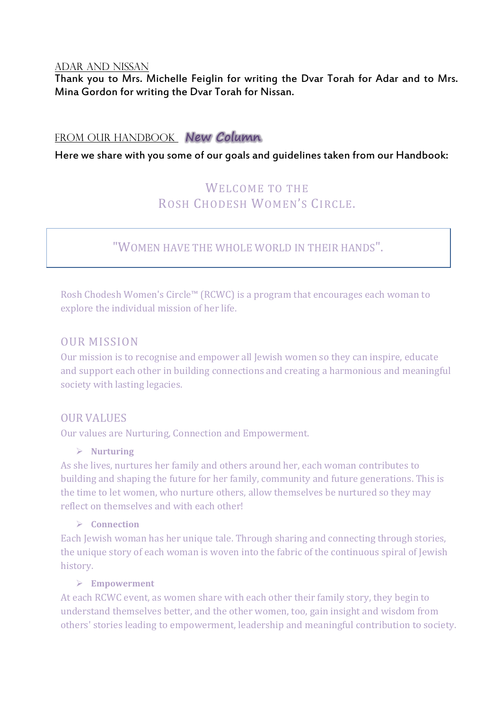#### Adar and Nissan

Thank you to Mrs. Michelle Feiglin for writing the Dvar Torah for Adar and to Mrs. Mina Gordon for writing the Dvar Torah for Nissan.

## From our handbook **New Column**

Here we share with you some of our goals and guidelines taken from our Handbook:

## WELCOME TO THE ROSH CHODESH WOMEN'S CIRCLE.

## "WOMEN HAVE THE WHOLE WORLD IN THEIR HANDS".

Rosh Chodesh Women's Circle™ (RCWC) is a program that encourages each woman to explore the individual mission of her life.

### OUR MISSION

Our mission is to recognise and empower all Jewish women so they can inspire, educate and support each other in building connections and creating a harmonious and meaningful society with lasting legacies.

#### OUR VALUES

Our values are Nurturing, Connection and Empowerment.

#### ¾ **Nurturing**

As she lives, nurtures her family and others around her, each woman contributes to building and shaping the future for her family, community and future generations. This is the time to let women, who nurture others, allow themselves be nurtured so they may reflect on themselves and with each other!

#### ¾ **Connection**

Each Jewish woman has her unique tale. Through sharing and connecting through stories, the unique story of each woman is woven into the fabric of the continuous spiral of Jewish history.

#### ¾ **Empowerment**

At each RCWC event, as women share with each other their family story, they begin to understand themselves better, and the other women, too, gain insight and wisdom from others' stories leading to empowerment, leadership and meaningful contribution to society.